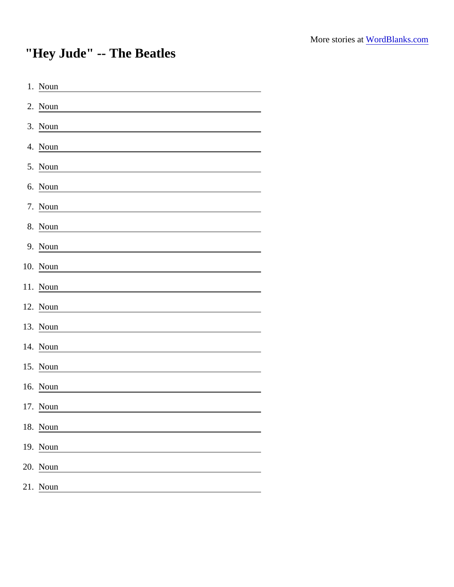## "Hey Jude" -- The Beatles

| 1. Noun                                             |
|-----------------------------------------------------|
| 2. Noun                                             |
| 3. Noun                                             |
| 4. Noun                                             |
| 5. Noun                                             |
| 6. Noun                                             |
| 7. Noun                                             |
| 8. Noun                                             |
| 9. Noun                                             |
| 10. Noun                                            |
| 11. Noun                                            |
| 12. Noun                                            |
| 13. Noun                                            |
| 14. Noun<br><u> 1989 - Johann Barbara, martxa a</u> |
| 15. Noun                                            |
| 16. Noun                                            |
| 17. Noun                                            |
| 18. Noun                                            |
| 19. Noun                                            |
| 20. Noun                                            |
| 21. Noun                                            |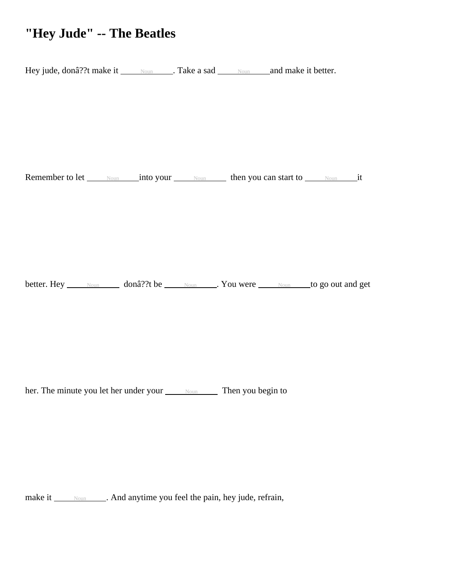## **"Hey Jude" -- The Beatles**

Hey jude, donâ??t make it <u>Noun</u> . Take a sad Noun and make it better. Remember to let Noun into your Noun then you can start to Noun it better. Hey <u>Noun</u> donâ??t be Noun . You were Noun to go out and get

her. The minute you let her under your  $\frac{N_{\text{Oun}}}{N_{\text{Oun}}}$  Then you begin to

make it Noun . And anytime you feel the pain, hey jude, refrain,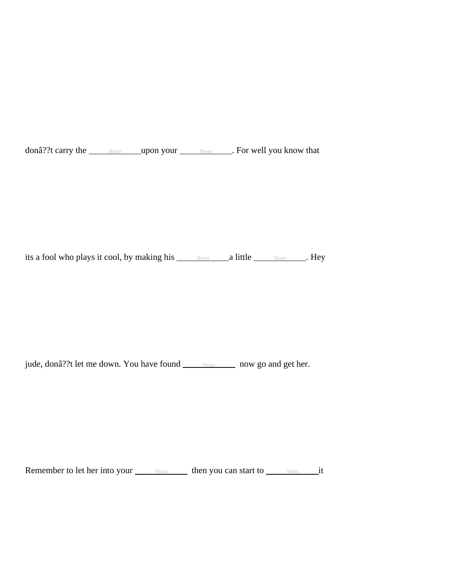donâ??t carry the  $\frac{N_{\text{Oun}}}{N_{\text{Oun}}}$  upon your  $\frac{N_{\text{Oun}}}{N_{\text{Oun}}}$ . For well you know that

its a fool who plays it cool, by making his  $\frac{N_{\text{Oun}}}{N_{\text{Oun}}}$  a little  $\frac{N_{\text{Oun}}}{N_{\text{Oun}}}$ . Hey

jude, donâ??t let me down. You have found <u>Noun now</u> go and get her.

Remember to let her into your <u>Noun Noun</u> then you can start to <u>Noun i</u>t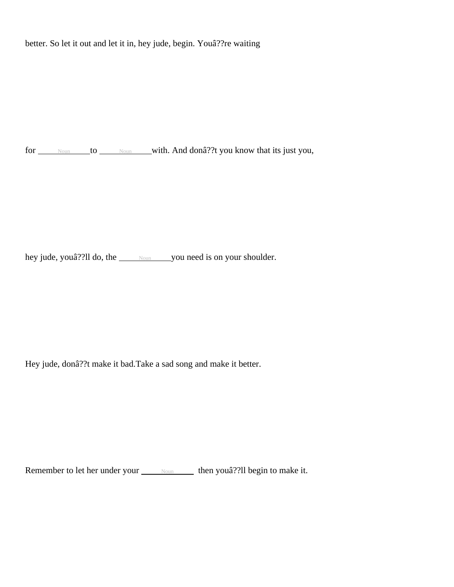better. So let it out and let it in, hey jude, begin. Youâ??re waiting

for <u>Noun to Noun</u> with. And donâ??t you know that its just you,

hey jude, youâ??ll do, the Noun you need is on your shoulder.

Hey jude, donâ??t make it bad.Take a sad song and make it better.

Remember to let her under your  $\frac{N_{\text{OUD}}}{N_{\text{OUD}}}$  then youâ??ll begin to make it.